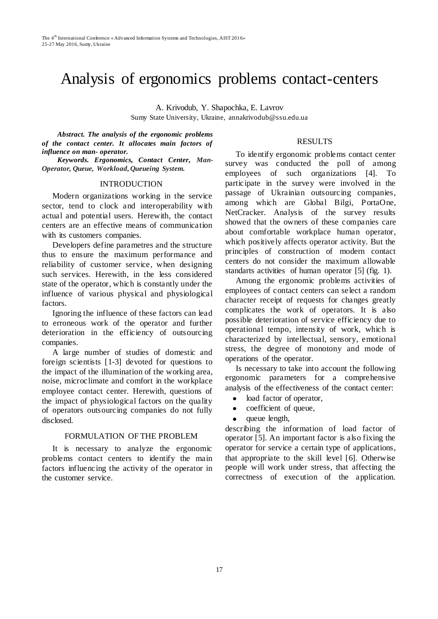# Analysis of ergonomics problems contact-centers

A. Krivodub, Y. Shapochka, E. Lavrov Sumy State University, Ukraine, annakrivodub@ssu.edu.ua

*Abstract. The analysis of the ergonomic problems of the contact center. It allocates main factors of influence on man- operator.*

*Keywords. Ergonomics, Contact Center, Man-Operator, Queue, Workload, Queueing System.*

#### INTRODUCTION

Modern organizations working in the service sector, tend to clock and interoperability with actual and potential users. Herewith, the contact centers are an effective means of communication with its customers companies.

Developers define parametres and the structure thus to ensure the maximum performance and reliability of customer service, when designing such services. Herewith, in the less considered state of the operator, which is constantly under the influence of various physical and physiological factors.

Ignoring the influence of these factors can lead to erroneous work of the operator and further deterioration in the efficiency of outsourcing companies.

A large number of studies of domestic and foreign scientists [1-3] devoted for questions to the impact of the illumination of the working area, noise, microclimate and comfort in the workplace employee contact center. Herewith, questions of the impact of physiological factors on the quality of operators outsourcing companies do not fully disclosed.

## FORMULATION OF THE PROBLEM

It is necessary to analyze the ergonomic problems contact centers to identify the main factors influencing the activity of the operator in the customer service.

## RESULTS

To identify ergonomic problems contact center survey was conducted the poll of among employees of such organizations [4]. To participate in the survey were involved in the passage of Ukrainian outsourcing companies, among which are Global Bilgi, PortaOne, NetCracker. Analysis of the survey results showed that the owners of these companies care about comfortable workplace human operator, which positively affects operator activity. But the principles of construction of modern contact centers do not consider the maximum allowable standarts activities of human operator [5] (fig. 1).

Among the ergonomic problems activities of employees of contact centers can select a random character receipt of requests for changes greatly complicates the work of operators. It is also possible deterioration of service efficiency due to operational tempo, intensity of work, which is characterized by intellectual, sensory, emotional stress, the degree of monotony and mode of operations of the operator.

Is necessary to take into account the following ergonomic parameters for a comprehensive analysis of the effectiveness of the contact center:

- load factor of operator,
- coefficient of queue,
- $\bullet$ queue length,

describing the information of load factor of operator [5]. An important factor is also fixing the operator for service a certain type of applications, that appropriate to the skill level [6]. Otherwise people will work under stress, that affecting the correctness of execution of the application.